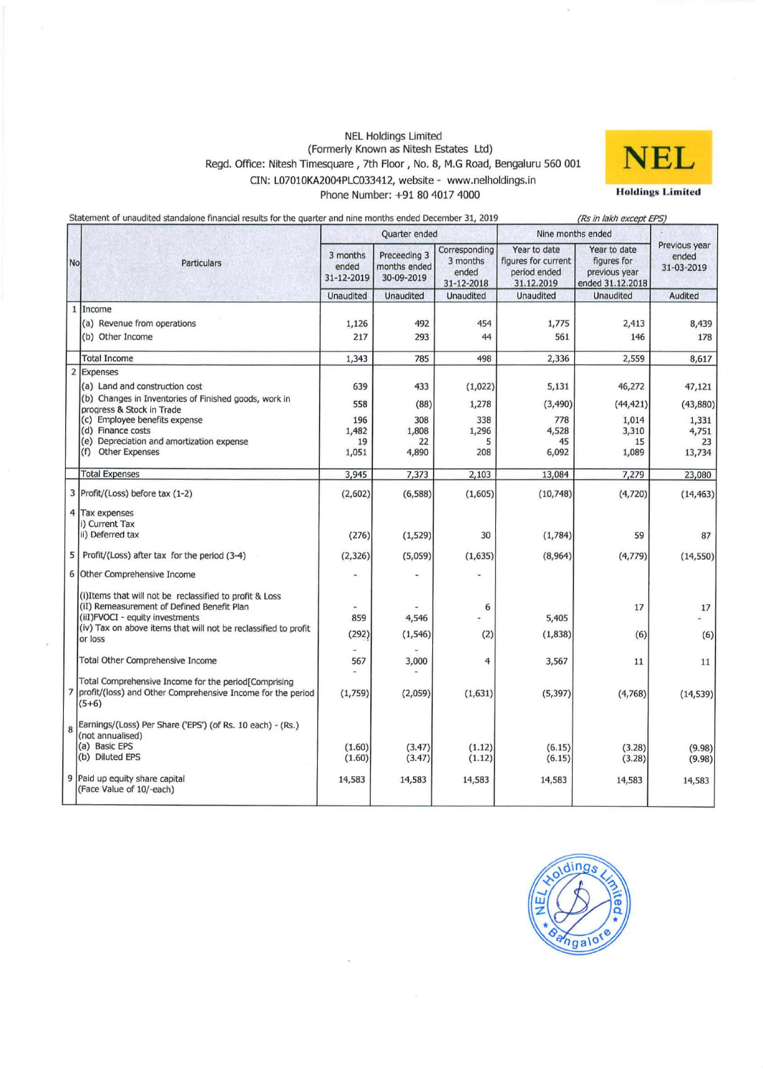#### NEl Holdings limited (Formerly Known as Nitesh Estates ltd) Regd. Office: Nitesh Timesquare, 7th Floor, No. 8, M.G Road, Bengaluru 560 001 CIN: l0701OKA2004PlC033412, website - www.nelholdings.in Phone Number: +91 80 4017 4000



|                | Statement of unaudited standalone financial results for the quarter and nine months ended December 31, 2019                                                                                                                                               |                                           | (Rs in lakh except EPS)                    |                                                  |                                                                   |                                                                  |                                                       |
|----------------|-----------------------------------------------------------------------------------------------------------------------------------------------------------------------------------------------------------------------------------------------------------|-------------------------------------------|--------------------------------------------|--------------------------------------------------|-------------------------------------------------------------------|------------------------------------------------------------------|-------------------------------------------------------|
| <b>No</b>      | Particulars                                                                                                                                                                                                                                               |                                           | Quarter ended                              |                                                  | Nine months ended                                                 |                                                                  |                                                       |
|                |                                                                                                                                                                                                                                                           | 3 months<br>ended<br>31-12-2019           | Preceeding 3<br>months ended<br>30-09-2019 | Corresponding<br>3 months<br>ended<br>31-12-2018 | Year to date<br>figures for current<br>period ended<br>31.12.2019 | Year to date<br>figures for<br>previous year<br>ended 31.12.2018 | Previous year<br>ended<br>31-03-2019                  |
|                |                                                                                                                                                                                                                                                           | <b>Unaudited</b>                          | Unaudited                                  | <b>Unaudited</b>                                 | Unaudited                                                         | <b>Unaudited</b>                                                 | Audited                                               |
| $\mathbf{1}$   | Income<br>(a) Revenue from operations<br>(b) Other Income                                                                                                                                                                                                 | 1,126<br>217                              | 492<br>293                                 | 454<br>44                                        | 1,775<br>561                                                      | 2,413<br>146                                                     | 8,439<br>178                                          |
|                | <b>Total Income</b>                                                                                                                                                                                                                                       | 1,343                                     | 785                                        | 498                                              | 2,336                                                             | 2,559                                                            | 8,617                                                 |
| $\overline{2}$ | Expenses<br>(a) Land and construction cost<br>(b) Changes in Inventories of Finished goods, work in<br>progress & Stock in Trade<br>(c) Employee benefits expense<br>(d) Finance costs<br>(e) Depreciation and amortization expense<br>(f) Other Expenses | 639<br>558<br>196<br>1,482<br>19<br>1,051 | 433<br>(88)<br>308<br>1,808<br>22<br>4,890 | (1,022)<br>1,278<br>338<br>1,296<br>5<br>208     | 5,131<br>(3,490)<br>778<br>4,528<br>45<br>6,092                   | 46,272<br>(44, 421)<br>1,014<br>3,310<br>15<br>1,089             | 47,121<br>(43, 880)<br>1,331<br>4,751<br>23<br>13,734 |
|                | <b>Total Expenses</b>                                                                                                                                                                                                                                     | 3,945                                     | 7,373                                      | 2,103                                            | 13,084                                                            | 7,279                                                            | 23,080                                                |
|                | 3 Profit/(Loss) before tax (1-2)                                                                                                                                                                                                                          | (2,602)                                   | (6, 588)                                   | (1,605)                                          | (10,748)                                                          | (4,720)                                                          | (14, 463)                                             |
| 5<br>6         | 4 Tax expenses<br>i) Current Tax<br>ii) Deferred tax<br>Profit/(Loss) after tax for the period (3-4)<br>Other Comprehensive Income                                                                                                                        | (276)<br>(2, 326)                         | (1,529)<br>(5,059)                         | 30<br>(1,635)                                    | (1,784)<br>(8,964)                                                | 59<br>(4,779)                                                    | 87<br>(14, 550)                                       |
|                | (i) I tems that will not be reclassified to profit & Loss<br>(iI) Remeasurement of Defined Benefit Plan<br>(iiI)FVOCI - equity investments<br>(iv) Tax on above items that will not be reclassified to profit<br>or loss                                  | 859<br>(292)                              | 4,546<br>(1, 546)                          | 6<br>(2)                                         | 5,405<br>(1, 838)                                                 | 17<br>(6)                                                        | 17<br>(6)                                             |
|                | Total Other Comprehensive Income                                                                                                                                                                                                                          | 567                                       | 3,000                                      | 4                                                | 3,567                                                             | 11                                                               | 11                                                    |
|                | Total Comprehensive Income for the period[Comprising<br>7  profit/(loss) and Other Comprehensive Income for the period<br>$(5+6)$                                                                                                                         | (1,759)                                   | (2,059)                                    | (1,631)                                          | (5, 397)                                                          | (4,768)                                                          | (14, 539)                                             |
| 8              | Earnings/(Loss) Per Share ('EPS') (of Rs. 10 each) - (Rs.)<br>(not annualised)<br>(a) Basic EPS<br>(b) Diluted EPS                                                                                                                                        | (1.60)<br>(1.60)                          | (3.47)<br>(3.47)                           | (1.12)<br>(1.12)                                 | (6.15)<br>(6.15)                                                  | (3.28)<br>(3.28)                                                 | (9.98)<br>(9.98)                                      |
|                | 9 Paid up equity share capital<br>(Face Value of 10/-each)                                                                                                                                                                                                | 14,583                                    | 14,583                                     | 14,583                                           | 14,583                                                            | 14,583                                                           | 14,583                                                |

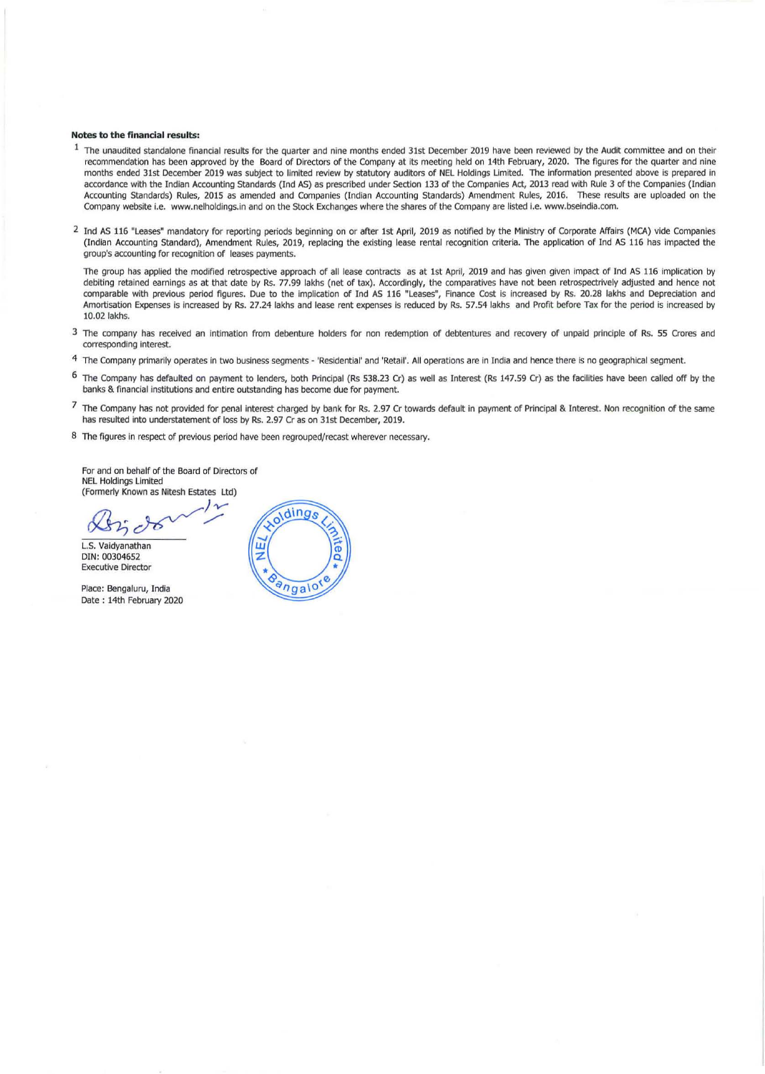#### Notes to the financial results:

- $1$  The unaudited standalone financial results for the quarter and nine months ended 31st December 2019 have been reviewed by the Audit committee and on their recommendation has been approved by the Board of Directors of the Company at its meeting held on 14th February, 2020. The figures for the quarter and nine months ended 31st December 2019 was subject to limited review by statutory auditors of NEL Holdings Limited. The information presented above is prepared in accordance with the Indian Accounting Standards (lnd AS) as prescribed under Section 133 of the Companies Act, 2013 read with Rule 3 of the Companies (Indian Accounting Standards) Rules, 2015 as amended and Companies (Indian Accounting Standards) Amendment Rules, 2016. These results are uploaded on the Company website i.e. www.nelholdings.in and on the Stock Exchanges where the shares of the Company are listed I.e. www.bseindia.com.
- <sup>2</sup> Ind AS 116 "Leases" mandatory for reporting periods beginning on or after 1st April, 2019 as notified by the Ministry of Corporate Affairs (MCA) vide Companies (Indian Accounting Standard), Amendment Rules, 2019, replacing the existing lease rental recognition criteria. The application of Ind AS 116 has impacted the group's accounting for recognition of leases payments.

The group has applied the modified retrospective approach of all lease contracts as at 1St April, 2019 and has given given impact of Ind AS 116 implication by debiting retained eamings as at that date by Rs. 77.99 lakhs (net of tax). Accordingly, the comparatives have not been retrospectrively adjusted and hence not comparable with previous period figures. Due to the implication of Ind AS 116 "Leases", Finance Cost is increased by Rs. 20.28 lakhs and Depreciation and Amortisation Expenses is increased by Rs. 27.24 lakhs and lease rent expenses is reduced by Rs. 57.54 lakhs and Profit before Tax for the period is increased by 10.02 lakhs.

- 3 The company has received an intimation from debenture holders for non redemption of debtentures and recovery of unpaid principle of Rs. 55 Crores and corresponding interest.
- 4 The Company primarily operates in two business segments 'Residential' and 'Retail'. All operations are In India and hence there is no geographical segment.
- 6 The Company has defaulted on payment to lenders, both Principal (Rs 538.23 Cr) as well as Interest (Rs 147.59 Cr) as the facilities have been called off by the banks & financial institutions and entire outstanding has become due for payment.
- 7 The Company has not provided for penal interest charged by bank for Rs. 2.97 Cr towards default in payment of Principal & Interest. Non recognition of the same has resulted into understatement of loss by Rs. 2.97 Cr as on 31st December, 2019.
- 8 The figures in respect of previous period have been regrouped/recast wherever necessary.

For and on behalf of the Board of Directors of NEL Holdings limited (Formerly Known as Nitesh Estates Ltd)

*J-v-*  $\mathbb{R}$ ndo  $\mathbb{R}$ 

L.S. Vaidyanathan DIN: 00304652 Executive Director

Place: Bengaluru, India Date: 14th February 2020

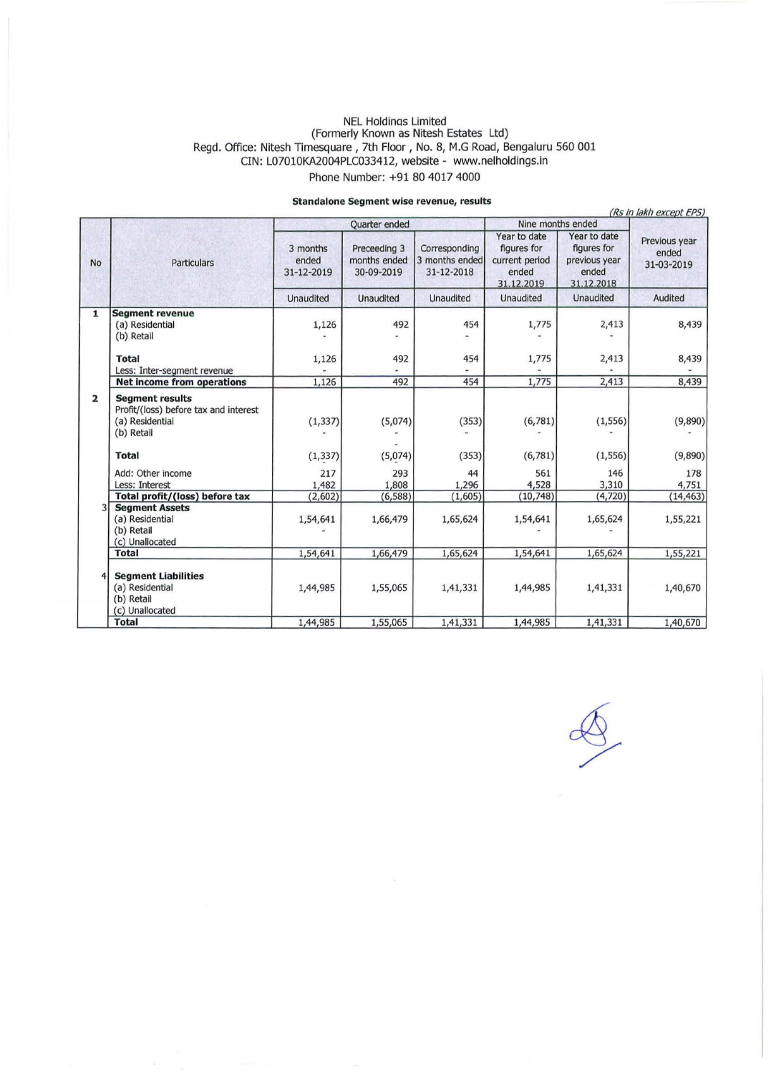#### NEL Holdinas Limited (Formerly Known as Nitesh Estates Ltd) Regd. Office: Nitesh Timesquare, 7th Floor, No. 8, M.G Road, Bengaluru 560 001 CIN: L07010KA2004PLC033412, website - www.nelholdings.in Phone Number: +91 80 4017 4000

### **standalone Segment wise revenue, results**

|                |                                                                                                  |                                 |                                            | atamaanne aegment wise revenue, results       |                                                                      |                                                                     | (Rs in lakh except EPS)              |
|----------------|--------------------------------------------------------------------------------------------------|---------------------------------|--------------------------------------------|-----------------------------------------------|----------------------------------------------------------------------|---------------------------------------------------------------------|--------------------------------------|
|                |                                                                                                  | Quarter ended                   |                                            |                                               | Nine months ended                                                    |                                                                     |                                      |
| <b>No</b>      | Particulars                                                                                      | 3 months<br>ended<br>31-12-2019 | Preceeding 3<br>months ended<br>30-09-2019 | Corresponding<br>3 months ended<br>31-12-2018 | Year to date<br>figures for<br>current period<br>ended<br>31.12.2019 | Year to date<br>figures for<br>previous year<br>ended<br>31.12.2018 | Previous year<br>ended<br>31-03-2019 |
|                |                                                                                                  | Unaudited                       | Unaudited                                  | <b>Unaudited</b>                              | <b>Unaudited</b>                                                     | <b>Unaudited</b>                                                    | Audited                              |
| $\mathbf{1}$   | <b>Segment revenue</b><br>(a) Residential<br>(b) Retail                                          | 1,126                           | 492                                        | 454                                           | 1,775                                                                | 2,413                                                               | 8,439                                |
|                | <b>Total</b><br>Less: Inter-segment revenue                                                      | 1,126                           | 492                                        | 454                                           | 1,775                                                                | 2,413                                                               | 8,439                                |
|                | <b>Net income from operations</b>                                                                | 1,126                           | 492                                        | 454                                           | 1,775                                                                | 2,413                                                               | 8,439                                |
| $\overline{2}$ | <b>Segment results</b><br>Profit/(loss) before tax and interest<br>(a) Residential<br>(b) Retail | (1, 337)                        | (5,074)                                    | (353)                                         | (6, 781)                                                             | (1, 556)                                                            | (9,890)                              |
|                | <b>Total</b>                                                                                     | (1, 337)                        | (5,074)                                    | (353)                                         | (6,781)                                                              | (1, 556)                                                            | (9,890)                              |
|                | Add: Other income<br>Less: Interest                                                              | 217<br>1,482                    | 293<br>1,808                               | 44<br>1,296                                   | 561<br>4,528                                                         | 146<br>3,310                                                        | 178<br>4,751                         |
|                | Total profit/(loss) before tax                                                                   | (2,602)                         | (6, 588)                                   | (1,605)                                       | (10, 748)                                                            | (4,720)                                                             | (14, 463)                            |
|                | <b>Segment Assets</b><br>(a) Residential<br>(b) Retail<br>(c) Unallocated                        | 1,54,641                        | 1,66,479                                   | 1,65,624                                      | 1,54,641                                                             | 1,65,624                                                            | 1,55,221                             |
|                | <b>Total</b>                                                                                     | 1,54,641                        | 1,66,479                                   | 1,65,624                                      | 1,54,641                                                             | 1,65,624                                                            | 1,55,221                             |
|                | <b>Segment Liabilities</b><br>(a) Residential<br>(b) Retail<br>(c) Unallocated                   | 1,44,985                        | 1,55,065                                   | 1,41,331                                      | 1,44,985                                                             | 1,41,331                                                            | 1,40,670                             |
|                | <b>Total</b>                                                                                     | 1,44,985                        | 1,55,065                                   | 1,41,331                                      | 1,44,985                                                             | 1,41,331                                                            | 1,40,670                             |

 $\overline{\mathscr{L}}$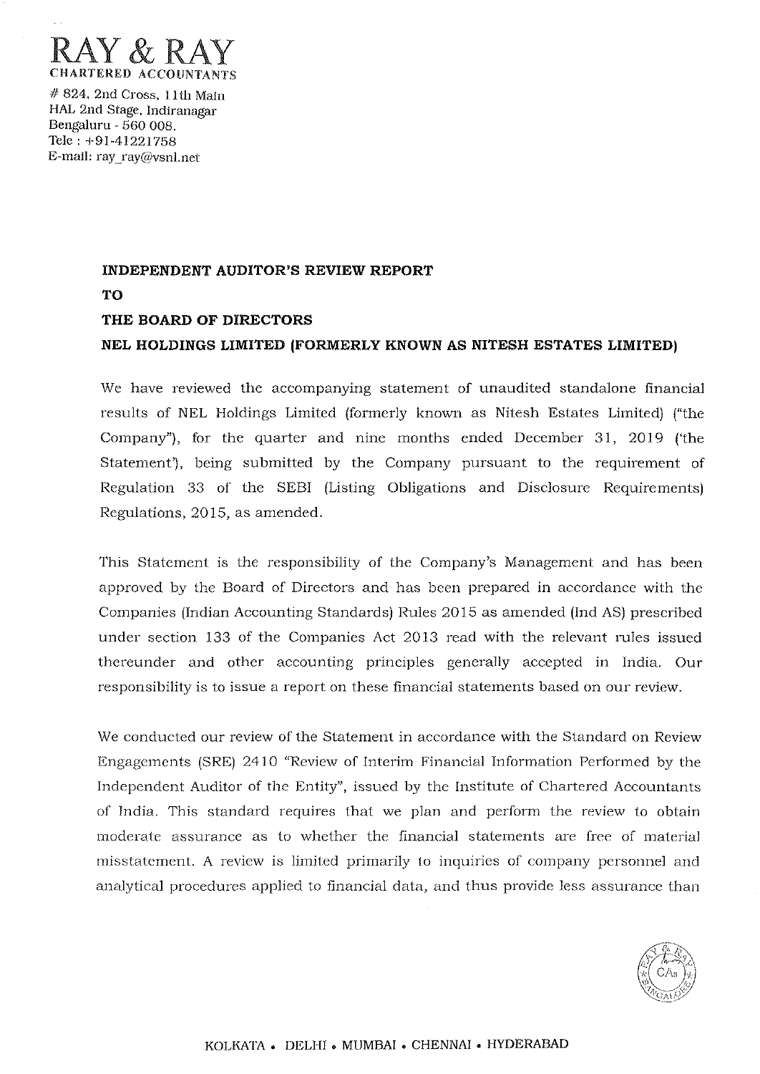

# 824, 2nd Cross, I lth Main HAL 2nd Stage, Indiranagar Bengaluru - 560 008. Tele: +91-41221758 E-mail: ray\_ray@vsnl.net

# **INDEPENDENT AUDITOR'S REVIEW REPORT TO THE BOARD OF DIRECTORS NEL HOLDINGS LIMITED (FORMERLY KNOWN AS NITESH ESTATES LIMITED)**

We have reviewed the accompanying statement of unaudited standalone financial results of NEL Holdings Limited (formerly known as Nitesh Estates Limited) ("the Company"), for the quarter and nine months ended December 31, 2019 *('the*  Statement'), being submitted by the Company pursuant to the requirement of Regulation 33 of the SEBI (Listing Obligations and Disclosure Requirements) Regulations, 2015, as amended.

This Statement is the responsibility of the Company's Management and has been approved by the Board of Directors and has been prepared in accordance with the Companies (Indian Accounting Standards) Rules 2015 as amended (Ind AS) prescribed under section 133 of *the* Companies Act 2013 read with the relevant rules issued thereunder and other accounting principles generally accepted in India. Our responsibility is to issue a report on these financial statements based on our review.

We conducted our review of the Statement in accordance with the Standard on Review Engagements (SRE) 2410 "Review of Interim Financial Information Performed by the Independent Auditor of the Entity", issued by the Institute of Chartered Accountants of India. This standard requires that we plan and perform the review to obtain moderate assurance as to whether the financial statements are free of material misstatement. A review is limited primarily to inquiries of company personnel and analytical procedures applied to financial data, and thus provide less assurance than

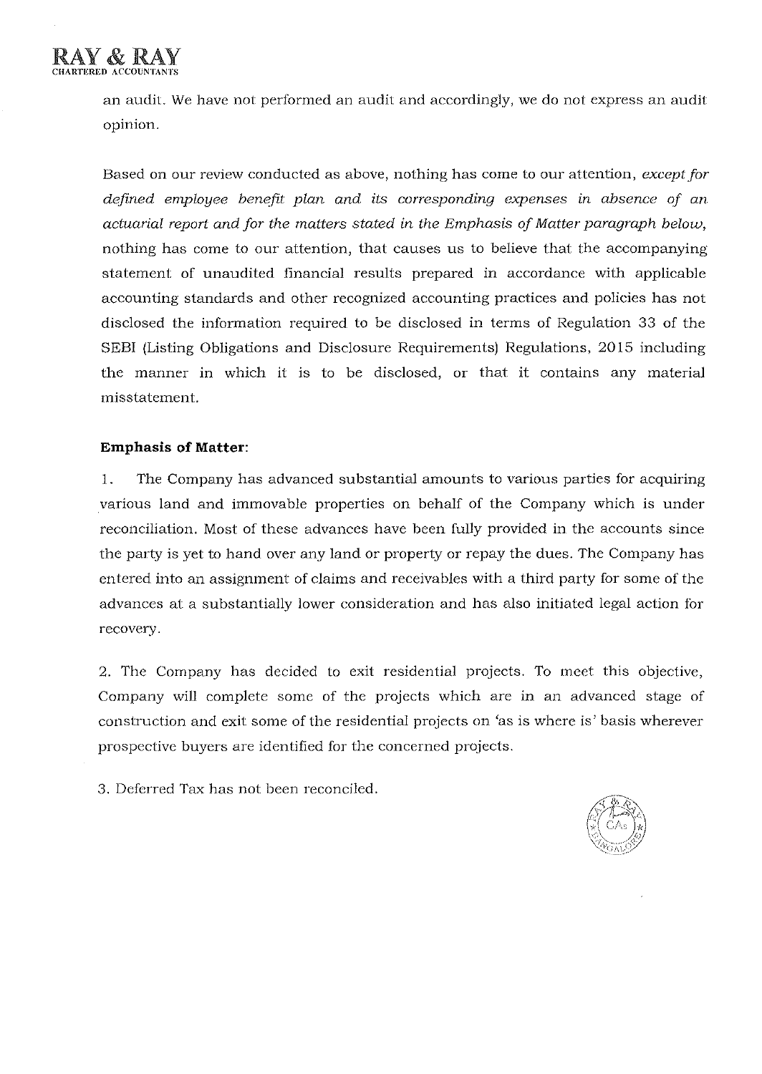an audit. We have not performed an audit and accordingly, we do not express an audit opinion.

Based on our review conducted as above, nothing has come to our attention, *except for defined employee benefit plan and its corresponding expenses in absence* of *an actuarial report and for the matters stated in the Emphasis of Matter paragraph below,*  nothing has come to our attention, that causes us to believe that the accompanying statement of unaudited financial results prepared in accordance with applicable accounting standards and other recognized accounting practices and policies has not disclosed the information required to be disclosed in terms of Regulation 33 of the SEBI (Listing Obligations and Disclosure Requirements) Regulations, 2015 including the manner in which it is to be disclosed, or that it contains any material misstatement.

## **Emphasis of Matter:**

1. The Company has advanced substantial amounts to various parties for acquiring various land and immovable properties on behalf of the Company which is under reconciliation. Most of these advances have been fully provided in the accounts since the party is yet to hand over any land or property or repay the dues. The Company has entered into an assignment of claims and receivables with a third party for some of the advances at a substantially lower consideration and has also initiated legal action for recovery.

2. The Company has decided to exit residential projects. To meet this objective, Company will complete some of the projects which are in an advanced stage of construction and exit some of the residential projects on 'as is where is' basis wherever prospective buyers are identified for the concerned projects.

3. Deferred Tax has not been reconciled.